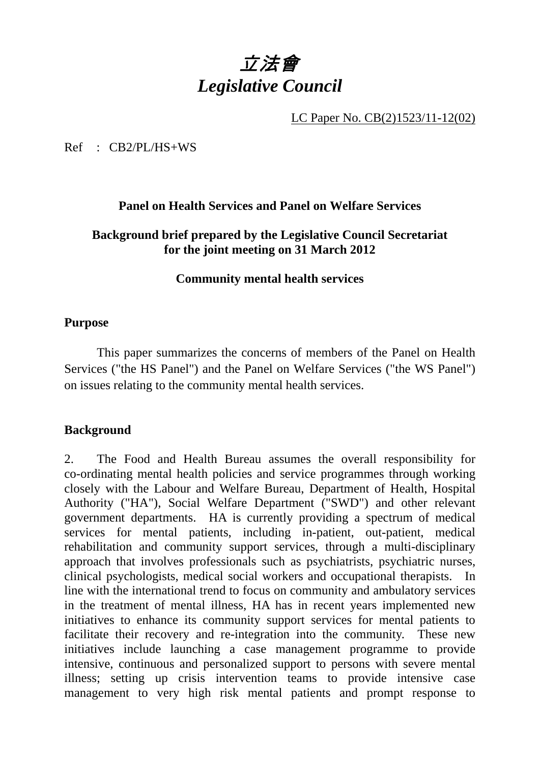# 立法會 *Legislative Council*

LC Paper No. CB(2)1523/11-12(02)

Ref : CB2/PL/HS+WS

#### **Panel on Health Services and Panel on Welfare Services**

#### **Background brief prepared by the Legislative Council Secretariat for the joint meeting on 31 March 2012**

#### **Community mental health services**

#### **Purpose**

 This paper summarizes the concerns of members of the Panel on Health Services ("the HS Panel") and the Panel on Welfare Services ("the WS Panel") on issues relating to the community mental health services.

#### **Background**

2. The Food and Health Bureau assumes the overall responsibility for co-ordinating mental health policies and service programmes through working closely with the Labour and Welfare Bureau, Department of Health, Hospital Authority ("HA"), Social Welfare Department ("SWD") and other relevant government departments. HA is currently providing a spectrum of medical services for mental patients, including in-patient, out-patient, medical rehabilitation and community support services, through a multi-disciplinary approach that involves professionals such as psychiatrists, psychiatric nurses, clinical psychologists, medical social workers and occupational therapists. In line with the international trend to focus on community and ambulatory services in the treatment of mental illness, HA has in recent years implemented new initiatives to enhance its community support services for mental patients to facilitate their recovery and re-integration into the community. These new initiatives include launching a case management programme to provide intensive, continuous and personalized support to persons with severe mental illness; setting up crisis intervention teams to provide intensive case management to very high risk mental patients and prompt response to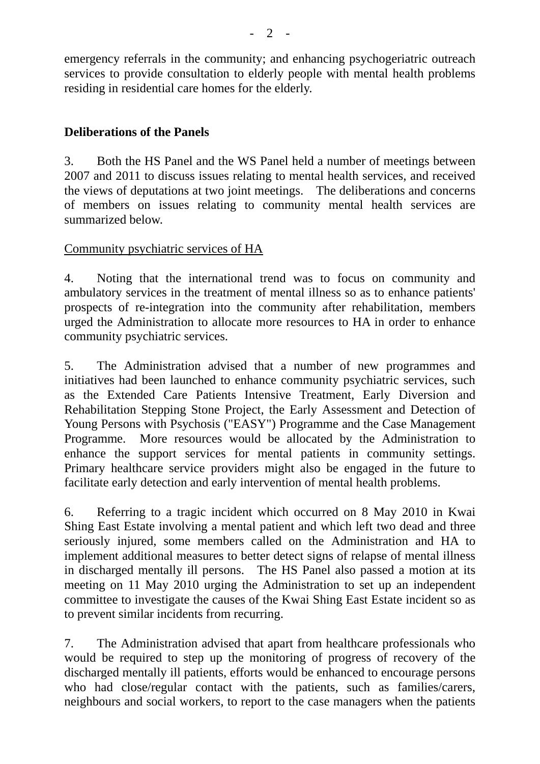emergency referrals in the community; and enhancing psychogeriatric outreach services to provide consultation to elderly people with mental health problems residing in residential care homes for the elderly.

# **Deliberations of the Panels**

3. Both the HS Panel and the WS Panel held a number of meetings between 2007 and 2011 to discuss issues relating to mental health services, and received the views of deputations at two joint meetings. The deliberations and concerns of members on issues relating to community mental health services are summarized below.

# Community psychiatric services of HA

4. Noting that the international trend was to focus on community and ambulatory services in the treatment of mental illness so as to enhance patients' prospects of re-integration into the community after rehabilitation, members urged the Administration to allocate more resources to HA in order to enhance community psychiatric services.

5. The Administration advised that a number of new programmes and initiatives had been launched to enhance community psychiatric services, such as the Extended Care Patients Intensive Treatment, Early Diversion and Rehabilitation Stepping Stone Project, the Early Assessment and Detection of Young Persons with Psychosis ("EASY") Programme and the Case Management Programme. More resources would be allocated by the Administration to enhance the support services for mental patients in community settings. Primary healthcare service providers might also be engaged in the future to facilitate early detection and early intervention of mental health problems.

6. Referring to a tragic incident which occurred on 8 May 2010 in Kwai Shing East Estate involving a mental patient and which left two dead and three seriously injured, some members called on the Administration and HA to implement additional measures to better detect signs of relapse of mental illness in discharged mentally ill persons. The HS Panel also passed a motion at its meeting on 11 May 2010 urging the Administration to set up an independent committee to investigate the causes of the Kwai Shing East Estate incident so as to prevent similar incidents from recurring.

7. The Administration advised that apart from healthcare professionals who would be required to step up the monitoring of progress of recovery of the discharged mentally ill patients, efforts would be enhanced to encourage persons who had close/regular contact with the patients, such as families/carers, neighbours and social workers, to report to the case managers when the patients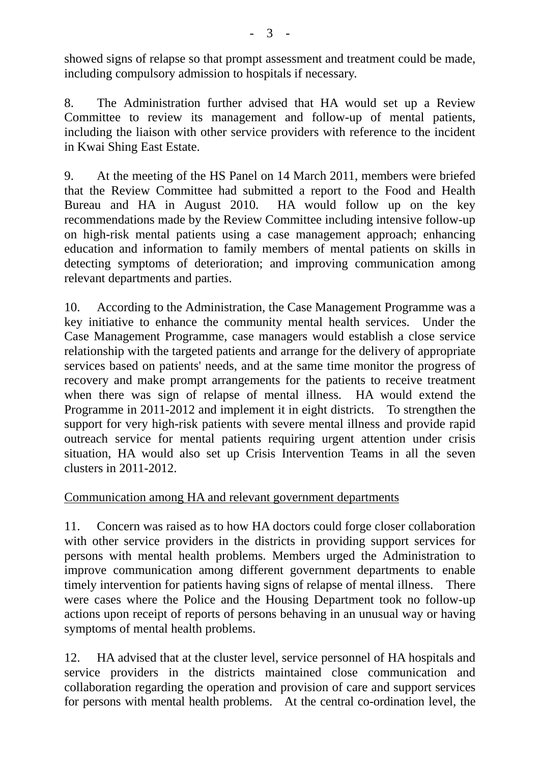showed signs of relapse so that prompt assessment and treatment could be made, including compulsory admission to hospitals if necessary.

8. The Administration further advised that HA would set up a Review Committee to review its management and follow-up of mental patients, including the liaison with other service providers with reference to the incident in Kwai Shing East Estate.

9. At the meeting of the HS Panel on 14 March 2011, members were briefed that the Review Committee had submitted a report to the Food and Health Bureau and HA in August 2010. HA would follow up on the key recommendations made by the Review Committee including intensive follow-up on high-risk mental patients using a case management approach; enhancing education and information to family members of mental patients on skills in detecting symptoms of deterioration; and improving communication among relevant departments and parties.

10. According to the Administration, the Case Management Programme was a key initiative to enhance the community mental health services. Under the Case Management Programme, case managers would establish a close service relationship with the targeted patients and arrange for the delivery of appropriate services based on patients' needs, and at the same time monitor the progress of recovery and make prompt arrangements for the patients to receive treatment when there was sign of relapse of mental illness. HA would extend the Programme in 2011-2012 and implement it in eight districts. To strengthen the support for very high-risk patients with severe mental illness and provide rapid outreach service for mental patients requiring urgent attention under crisis situation, HA would also set up Crisis Intervention Teams in all the seven clusters in 2011-2012.

# Communication among HA and relevant government departments

11. Concern was raised as to how HA doctors could forge closer collaboration with other service providers in the districts in providing support services for persons with mental health problems. Members urged the Administration to improve communication among different government departments to enable timely intervention for patients having signs of relapse of mental illness. There were cases where the Police and the Housing Department took no follow-up actions upon receipt of reports of persons behaving in an unusual way or having symptoms of mental health problems.

12. HA advised that at the cluster level, service personnel of HA hospitals and service providers in the districts maintained close communication and collaboration regarding the operation and provision of care and support services for persons with mental health problems. At the central co-ordination level, the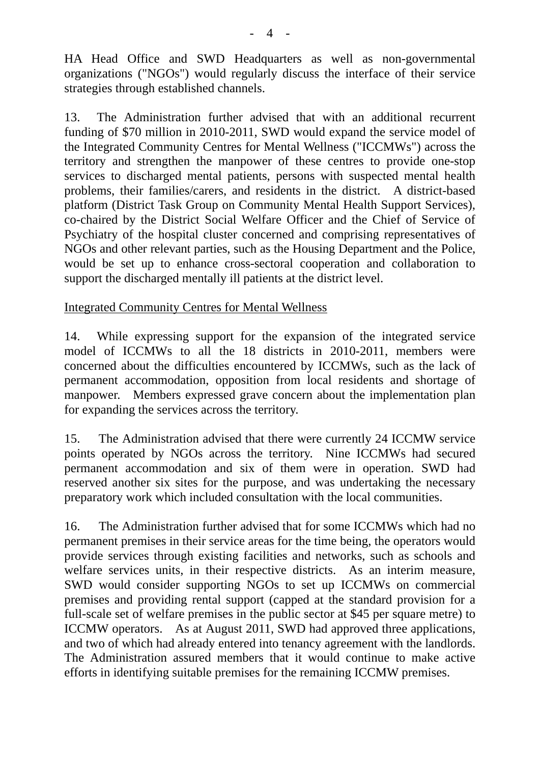HA Head Office and SWD Headquarters as well as non-governmental organizations ("NGOs") would regularly discuss the interface of their service strategies through established channels.

13. The Administration further advised that with an additional recurrent funding of \$70 million in 2010-2011, SWD would expand the service model of the Integrated Community Centres for Mental Wellness ("ICCMWs") across the territory and strengthen the manpower of these centres to provide one-stop services to discharged mental patients, persons with suspected mental health problems, their families/carers, and residents in the district. A district-based platform (District Task Group on Community Mental Health Support Services), co-chaired by the District Social Welfare Officer and the Chief of Service of Psychiatry of the hospital cluster concerned and comprising representatives of NGOs and other relevant parties, such as the Housing Department and the Police, would be set up to enhance cross-sectoral cooperation and collaboration to support the discharged mentally ill patients at the district level.

#### Integrated Community Centres for Mental Wellness

14. While expressing support for the expansion of the integrated service model of ICCMWs to all the 18 districts in 2010-2011, members were concerned about the difficulties encountered by ICCMWs, such as the lack of permanent accommodation, opposition from local residents and shortage of manpower. Members expressed grave concern about the implementation plan for expanding the services across the territory.

15. The Administration advised that there were currently 24 ICCMW service points operated by NGOs across the territory. Nine ICCMWs had secured permanent accommodation and six of them were in operation. SWD had reserved another six sites for the purpose, and was undertaking the necessary preparatory work which included consultation with the local communities.

16. The Administration further advised that for some ICCMWs which had no permanent premises in their service areas for the time being, the operators would provide services through existing facilities and networks, such as schools and welfare services units, in their respective districts. As an interim measure, SWD would consider supporting NGOs to set up ICCMWs on commercial premises and providing rental support (capped at the standard provision for a full-scale set of welfare premises in the public sector at \$45 per square metre) to ICCMW operators. As at August 2011, SWD had approved three applications, and two of which had already entered into tenancy agreement with the landlords. The Administration assured members that it would continue to make active efforts in identifying suitable premises for the remaining ICCMW premises.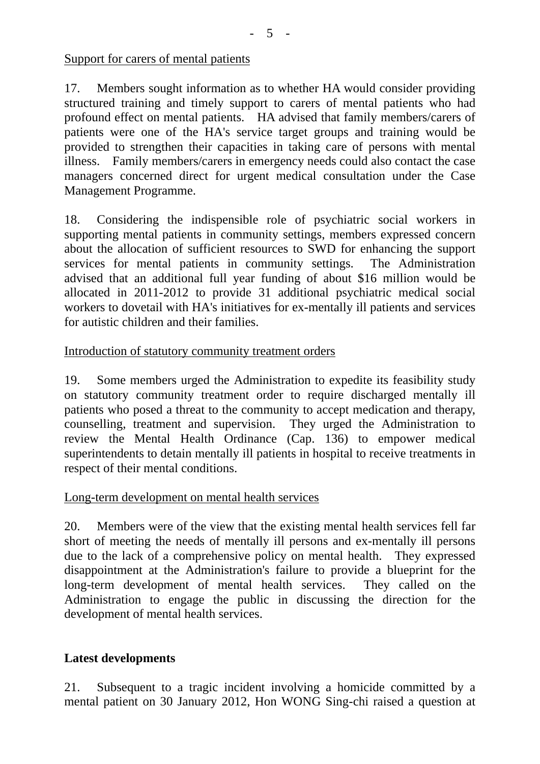Support for carers of mental patients

17. Members sought information as to whether HA would consider providing structured training and timely support to carers of mental patients who had profound effect on mental patients. HA advised that family members/carers of patients were one of the HA's service target groups and training would be provided to strengthen their capacities in taking care of persons with mental illness. Family members/carers in emergency needs could also contact the case managers concerned direct for urgent medical consultation under the Case Management Programme.

18. Considering the indispensible role of psychiatric social workers in supporting mental patients in community settings, members expressed concern about the allocation of sufficient resources to SWD for enhancing the support services for mental patients in community settings. The Administration advised that an additional full year funding of about \$16 million would be allocated in 2011-2012 to provide 31 additional psychiatric medical social workers to dovetail with HA's initiatives for ex-mentally ill patients and services for autistic children and their families.

#### Introduction of statutory community treatment orders

19. Some members urged the Administration to expedite its feasibility study on statutory community treatment order to require discharged mentally ill patients who posed a threat to the community to accept medication and therapy, counselling, treatment and supervision. They urged the Administration to review the Mental Health Ordinance (Cap. 136) to empower medical superintendents to detain mentally ill patients in hospital to receive treatments in respect of their mental conditions.

#### Long-term development on mental health services

20. Members were of the view that the existing mental health services fell far short of meeting the needs of mentally ill persons and ex-mentally ill persons due to the lack of a comprehensive policy on mental health. They expressed disappointment at the Administration's failure to provide a blueprint for the long-term development of mental health services. They called on the Administration to engage the public in discussing the direction for the development of mental health services.

# **Latest developments**

21. Subsequent to a tragic incident involving a homicide committed by a mental patient on 30 January 2012, Hon WONG Sing-chi raised a question at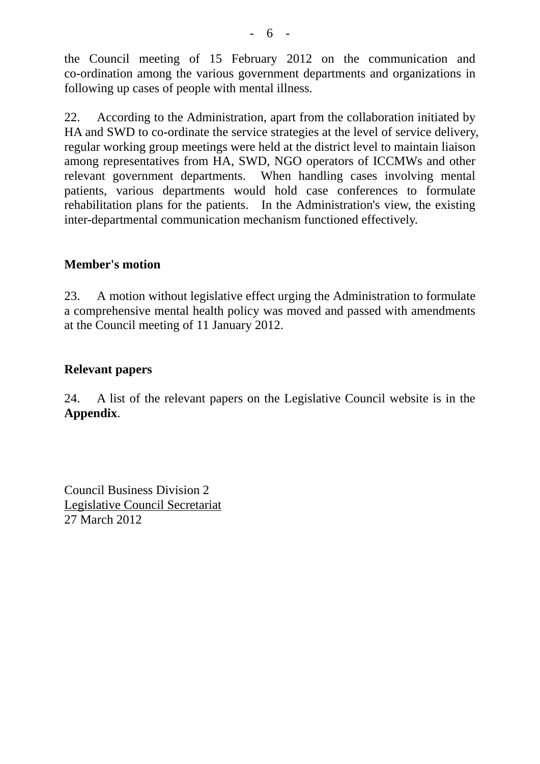the Council meeting of 15 February 2012 on the communication and co-ordination among the various government departments and organizations in following up cases of people with mental illness.

22. According to the Administration, apart from the collaboration initiated by HA and SWD to co-ordinate the service strategies at the level of service delivery, regular working group meetings were held at the district level to maintain liaison among representatives from HA, SWD, NGO operators of ICCMWs and other relevant government departments. When handling cases involving mental patients, various departments would hold case conferences to formulate rehabilitation plans for the patients. In the Administration's view, the existing inter-departmental communication mechanism functioned effectively.

# **Member's motion**

23. A motion without legislative effect urging the Administration to formulate a comprehensive mental health policy was moved and passed with amendments at the Council meeting of 11 January 2012.

# **Relevant papers**

24. A list of the relevant papers on the Legislative Council website is in the **Appendix**.

Council Business Division 2 Legislative Council Secretariat 27 March 2012